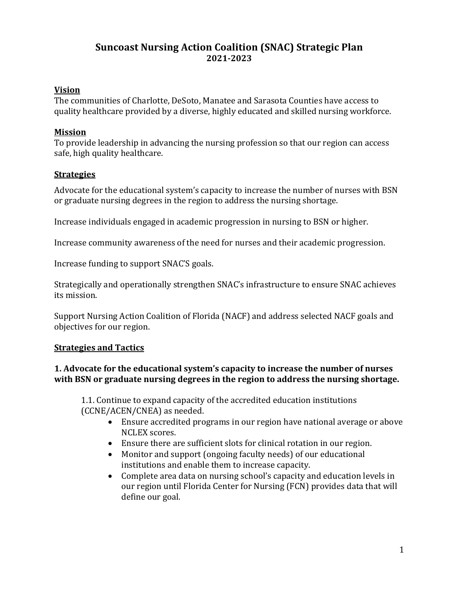# **Suncoast Nursing Action Coalition (SNAC) Strategic Plan 2021-2023**

# **Vision**

The communities of Charlotte, DeSoto, Manatee and Sarasota Counties have access to quality healthcare provided by a diverse, highly educated and skilled nursing workforce.

# **Mission**

To provide leadership in advancing the nursing profession so that our region can access safe, high quality healthcare.

# **Strategies**

Advocate for the educational system's capacity to increase the number of nurses with BSN or graduate nursing degrees in the region to address the nursing shortage.

Increase individuals engaged in academic progression in nursing to BSN or higher.

Increase community awareness of the need for nurses and their academic progression.

Increase funding to support SNAC'S goals.

Strategically and operationally strengthen SNAC's infrastructure to ensure SNAC achieves its mission.

Support Nursing Action Coalition of Florida (NACF) and address selected NACF goals and objectives for our region.

# **Strategies and Tactics**

# **1.** Advocate for the educational system's capacity to increase the number of nurses with BSN or graduate nursing degrees in the region to address the nursing shortage.

1.1. Continue to expand capacity of the accredited education institutions (CCNE/ACEN/CNEA) as needed.

- Ensure accredited programs in our region have national average or above NCLEX scores.
- Ensure there are sufficient slots for clinical rotation in our region.
- Monitor and support (ongoing faculty needs) of our educational institutions and enable them to increase capacity.
- Complete area data on nursing school's capacity and education levels in our region until Florida Center for Nursing (FCN) provides data that will define our goal.